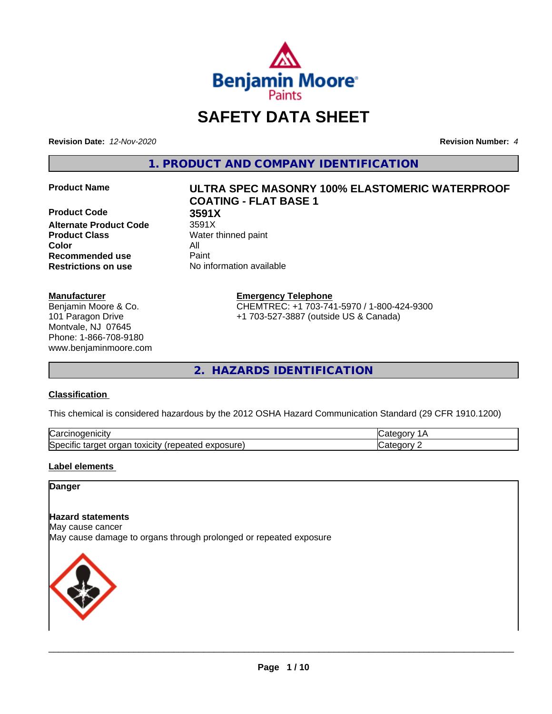

## **SAFETY DATA SHEET**

**Revision Date:** *12-Nov-2020* **Revision Number:** *4*

**1. PRODUCT AND COMPANY IDENTIFICATION**

**Product Code 68 3591X<br>Alternate Product Code 3591X Alternate Product Code Product Class** Water thinned paint **Color** All **Recommended use** Paint **Restrictions on use** No information available

#### **Manufacturer**

Benjamin Moore & Co. 101 Paragon Drive Montvale, NJ 07645 Phone: 1-866-708-9180 www.benjaminmoore.com

# **Product Name ULTRA SPEC MASONRY 100% ELASTOMERIC WATERPROOF COATING - FLAT BASE 1**

**Emergency Telephone**

CHEMTREC: +1 703-741-5970 / 1-800-424-9300 +1 703-527-3887 (outside US & Canada)

**2. HAZARDS IDENTIFICATION**

#### **Classification**

This chemical is considered hazardous by the 2012 OSHA Hazard Communication Standard (29 CFR 1910.1200)

| ⌒<br>.<br>"Jarc™<br>пісн<br>…u⊔∪∪ ≔                                                 | ----     |
|-------------------------------------------------------------------------------------|----------|
| exposure<br>. .<br>toxicity<br>50e<br>ordar<br>arger :<br>энк<br>.<br>calcu<br>50.U | ----<br> |

#### **Label elements**

#### **Danger**

#### **Hazard statements**

May cause cancer

May cause damage to organs through prolonged or repeated exposure

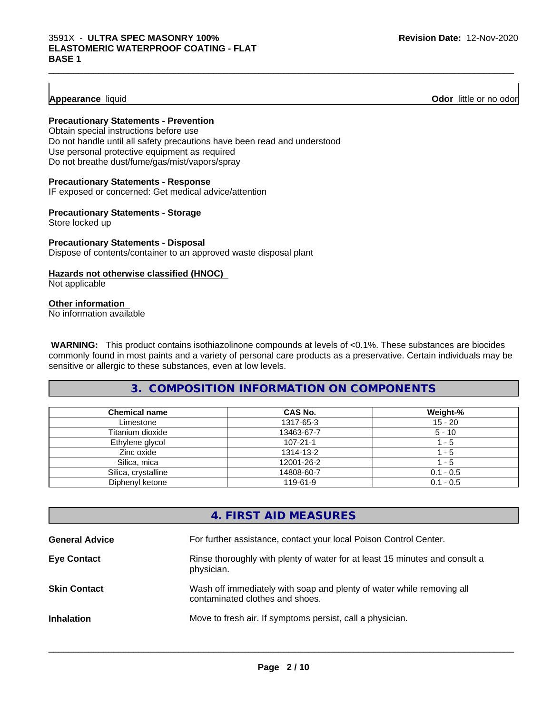#### **Appearance** liquid **Odor 11** and **Odor 11** and **Odor 11** and **Odor 11** and **Odor 11** and **Odor 11** and **Odor** 11 and **Odor** 11 and **Odor** 11 and **Odor** 11 and **Odor** 11 and **Odor** 11 and **Odor** 11 and **Odor** 11 and **Odor**

#### **Precautionary Statements - Prevention**

Obtain special instructions before use Do not handle until all safety precautions have been read and understood Use personal protective equipment as required Do not breathe dust/fume/gas/mist/vapors/spray

#### **Precautionary Statements - Response**

IF exposed or concerned: Get medical advice/attention

#### **Precautionary Statements - Storage**

Store locked up

#### **Precautionary Statements - Disposal** Dispose of contents/container to an approved waste disposal plant

#### **Hazards not otherwise classified (HNOC)**

Not applicable

#### **Other information**

No information available

 **WARNING:** This product contains isothiazolinone compounds at levels of <0.1%. These substances are biocides commonly found in most paints and a variety of personal care products as a preservative. Certain individuals may be sensitive or allergic to these substances, even at low levels.

 $\_$  ,  $\_$  ,  $\_$  ,  $\_$  ,  $\_$  ,  $\_$  ,  $\_$  ,  $\_$  ,  $\_$  ,  $\_$  ,  $\_$  ,  $\_$  ,  $\_$  ,  $\_$  ,  $\_$  ,  $\_$  ,  $\_$  ,  $\_$  ,  $\_$  ,  $\_$  ,  $\_$  ,  $\_$  ,  $\_$  ,  $\_$  ,  $\_$  ,  $\_$  ,  $\_$  ,  $\_$  ,  $\_$  ,  $\_$  ,  $\_$  ,  $\_$  ,  $\_$  ,  $\_$  ,  $\_$  ,  $\_$  ,  $\_$  ,

#### **3. COMPOSITION INFORMATION ON COMPONENTS**

| <b>Chemical name</b> | CAS No.        | Weight-%    |
|----------------------|----------------|-------------|
| Limestone            | 1317-65-3      | $15 - 20$   |
| Titanium dioxide     | 13463-67-7     | $5 - 10$    |
| Ethylene glycol      | $107 - 21 - 1$ | - 5         |
| Zinc oxide           | 1314-13-2      | - 5         |
| Silica, mica         | 12001-26-2     | - 5         |
| Silica, crystalline  | 14808-60-7     | $0.1 - 0.5$ |
| Diphenyl ketone      | 119-61-9       | $0.1 - 0.5$ |

#### **4. FIRST AID MEASURES**

| <b>General Advice</b> | For further assistance, contact your local Poison Control Center.                                        |
|-----------------------|----------------------------------------------------------------------------------------------------------|
| <b>Eye Contact</b>    | Rinse thoroughly with plenty of water for at least 15 minutes and consult a<br>physician.                |
| <b>Skin Contact</b>   | Wash off immediately with soap and plenty of water while removing all<br>contaminated clothes and shoes. |
| <b>Inhalation</b>     | Move to fresh air. If symptoms persist, call a physician.                                                |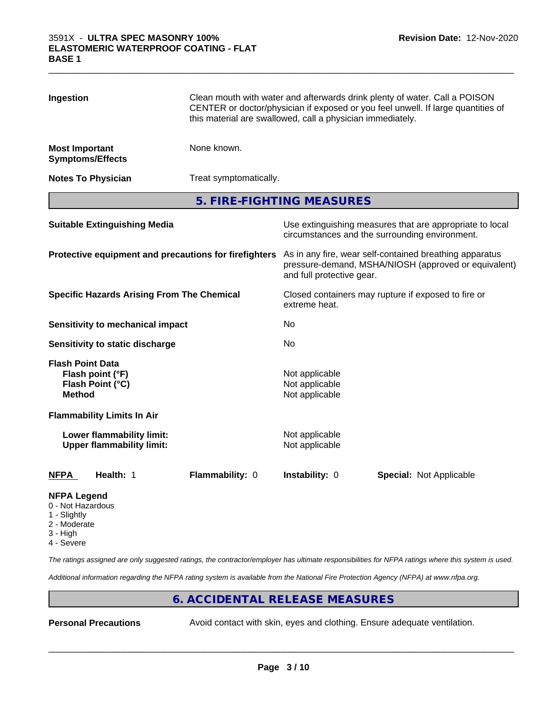| Ingestion                                                                        |                                                               | Clean mouth with water and afterwards drink plenty of water. Call a POISON<br>CENTER or doctor/physician if exposed or you feel unwell. If large quantities of<br>this material are swallowed, call a physician immediately. |                                  |                         |  |
|----------------------------------------------------------------------------------|---------------------------------------------------------------|------------------------------------------------------------------------------------------------------------------------------------------------------------------------------------------------------------------------------|----------------------------------|-------------------------|--|
| <b>Most Important</b>                                                            | <b>Symptoms/Effects</b>                                       | None known.                                                                                                                                                                                                                  |                                  |                         |  |
|                                                                                  | <b>Notes To Physician</b>                                     | Treat symptomatically.                                                                                                                                                                                                       |                                  |                         |  |
|                                                                                  |                                                               |                                                                                                                                                                                                                              | 5. FIRE-FIGHTING MEASURES        |                         |  |
| <b>Suitable Extinguishing Media</b>                                              |                                                               | Use extinguishing measures that are appropriate to local<br>circumstances and the surrounding environment.                                                                                                                   |                                  |                         |  |
| Protective equipment and precautions for firefighters                            |                                                               | As in any fire, wear self-contained breathing apparatus<br>pressure-demand, MSHA/NIOSH (approved or equivalent)<br>and full protective gear.                                                                                 |                                  |                         |  |
| <b>Specific Hazards Arising From The Chemical</b>                                |                                                               | Closed containers may rupture if exposed to fire or<br>extreme heat.                                                                                                                                                         |                                  |                         |  |
|                                                                                  | <b>Sensitivity to mechanical impact</b>                       |                                                                                                                                                                                                                              | No                               |                         |  |
|                                                                                  | Sensitivity to static discharge                               |                                                                                                                                                                                                                              | No                               |                         |  |
| <b>Flash Point Data</b><br>Flash point (°F)<br>Flash Point (°C)<br><b>Method</b> |                                                               | Not applicable<br>Not applicable<br>Not applicable                                                                                                                                                                           |                                  |                         |  |
|                                                                                  | <b>Flammability Limits In Air</b>                             |                                                                                                                                                                                                                              |                                  |                         |  |
|                                                                                  | Lower flammability limit:<br><b>Upper flammability limit:</b> |                                                                                                                                                                                                                              | Not applicable<br>Not applicable |                         |  |
| <b>NFPA</b>                                                                      | Health: 1                                                     | Flammability: 0                                                                                                                                                                                                              | Instability: 0                   | Special: Not Applicable |  |
| <b>NFPA Legend</b><br>0 - Not Hazardous                                          |                                                               |                                                                                                                                                                                                                              |                                  |                         |  |

 $\_$  ,  $\_$  ,  $\_$  ,  $\_$  ,  $\_$  ,  $\_$  ,  $\_$  ,  $\_$  ,  $\_$  ,  $\_$  ,  $\_$  ,  $\_$  ,  $\_$  ,  $\_$  ,  $\_$  ,  $\_$  ,  $\_$  ,  $\_$  ,  $\_$  ,  $\_$  ,  $\_$  ,  $\_$  ,  $\_$  ,  $\_$  ,  $\_$  ,  $\_$  ,  $\_$  ,  $\_$  ,  $\_$  ,  $\_$  ,  $\_$  ,  $\_$  ,  $\_$  ,  $\_$  ,  $\_$  ,  $\_$  ,  $\_$  ,

- 1 Slightly
- 2 Moderate
- 3 High
- 4 Severe

*The ratings assigned are only suggested ratings, the contractor/employer has ultimate responsibilities for NFPA ratings where this system is used.*

*Additional information regarding the NFPA rating system is available from the National Fire Protection Agency (NFPA) at www.nfpa.org.*

#### **6. ACCIDENTAL RELEASE MEASURES**

**Personal Precautions** Avoid contact with skin, eyes and clothing. Ensure adequate ventilation.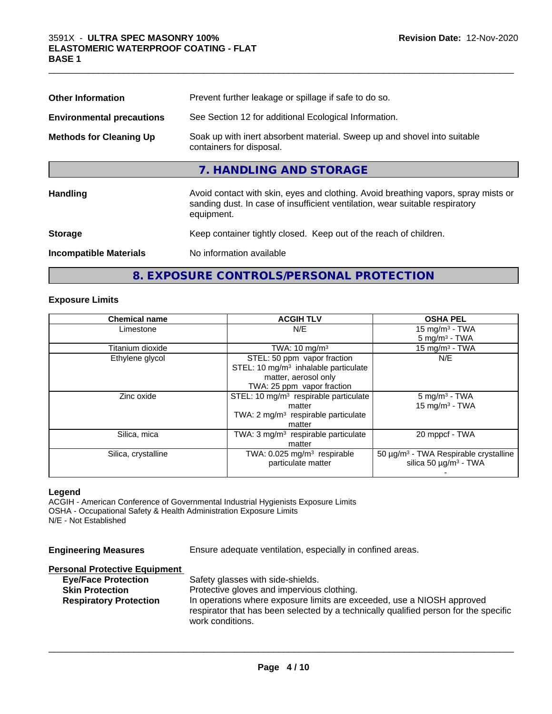| <b>Other Information</b>         | Prevent further leakage or spillage if safe to do so.                                                                                                                            |
|----------------------------------|----------------------------------------------------------------------------------------------------------------------------------------------------------------------------------|
| <b>Environmental precautions</b> | See Section 12 for additional Ecological Information.                                                                                                                            |
| <b>Methods for Cleaning Up</b>   | Soak up with inert absorbent material. Sweep up and shovel into suitable<br>containers for disposal.                                                                             |
|                                  | 7. HANDLING AND STORAGE                                                                                                                                                          |
| Handling                         | Avoid contact with skin, eyes and clothing. Avoid breathing vapors, spray mists or<br>sanding dust. In case of insufficient ventilation, wear suitable respiratory<br>equipment. |
| <b>Storage</b>                   | Keep container tightly closed. Keep out of the reach of children.                                                                                                                |
| <b>Incompatible Materials</b>    | No information available                                                                                                                                                         |
|                                  |                                                                                                                                                                                  |

 $\_$  ,  $\_$  ,  $\_$  ,  $\_$  ,  $\_$  ,  $\_$  ,  $\_$  ,  $\_$  ,  $\_$  ,  $\_$  ,  $\_$  ,  $\_$  ,  $\_$  ,  $\_$  ,  $\_$  ,  $\_$  ,  $\_$  ,  $\_$  ,  $\_$  ,  $\_$  ,  $\_$  ,  $\_$  ,  $\_$  ,  $\_$  ,  $\_$  ,  $\_$  ,  $\_$  ,  $\_$  ,  $\_$  ,  $\_$  ,  $\_$  ,  $\_$  ,  $\_$  ,  $\_$  ,  $\_$  ,  $\_$  ,  $\_$  ,

## **8. EXPOSURE CONTROLS/PERSONAL PROTECTION**

#### **Exposure Limits**

| <b>Chemical name</b> | <b>ACGIH TLV</b>                                  | <b>OSHA PEL</b>                                   |
|----------------------|---------------------------------------------------|---------------------------------------------------|
| Limestone            | N/E                                               | 15 mg/m $3$ - TWA                                 |
|                      |                                                   | $5 \text{ mg/m}^3$ - TWA                          |
| Titanium dioxide     | TWA: $10 \text{ mg/m}^3$                          | 15 mg/m $3$ - TWA                                 |
| Ethylene glycol      | STEL: 50 ppm vapor fraction                       | N/E                                               |
|                      | STEL: 10 $mg/m3$ inhalable particulate            |                                                   |
|                      | matter, aerosol only                              |                                                   |
|                      | TWA: 25 ppm vapor fraction                        |                                                   |
| Zinc oxide           | STEL: 10 mg/m <sup>3</sup> respirable particulate | $5 \text{ mg/m}^3$ - TWA                          |
|                      | matter                                            | $15$ mg/m <sup>3</sup> - TWA                      |
|                      | TWA: $2 \text{ mg/m}^3$ respirable particulate    |                                                   |
|                      | matter                                            |                                                   |
| Silica, mica         | TWA: $3 \text{ mg/m}^3$ respirable particulate    | 20 mppcf - TWA                                    |
|                      | matter                                            |                                                   |
| Silica, crystalline  | TWA: $0.025$ mg/m <sup>3</sup> respirable         | 50 µg/m <sup>3</sup> - TWA Respirable crystalline |
|                      | particulate matter                                | silica 50 $\mu$ g/m <sup>3</sup> - TWA            |
|                      |                                                   |                                                   |

#### **Legend**

ACGIH - American Conference of Governmental Industrial Hygienists Exposure Limits OSHA - Occupational Safety & Health Administration Exposure Limits N/E - Not Established

| <b>Engineering Measures</b>          | Ensure adequate ventilation, especially in confined areas.                           |
|--------------------------------------|--------------------------------------------------------------------------------------|
| <b>Personal Protective Equipment</b> |                                                                                      |
| <b>Eye/Face Protection</b>           | Safety glasses with side-shields.                                                    |
| <b>Skin Protection</b>               | Protective gloves and impervious clothing.                                           |
| <b>Respiratory Protection</b>        | In operations where exposure limits are exceeded, use a NIOSH approved               |
|                                      | respirator that has been selected by a technically qualified person for the specific |
|                                      | work conditions.                                                                     |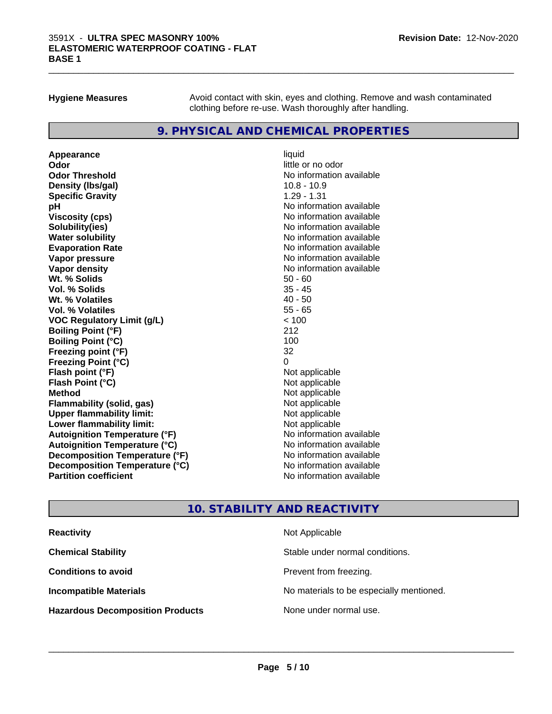**Hygiene Measures** Avoid contact with skin, eyes and clothing. Remove and wash contaminated clothing before re-use. Wash thoroughly after handling.

 $\_$  ,  $\_$  ,  $\_$  ,  $\_$  ,  $\_$  ,  $\_$  ,  $\_$  ,  $\_$  ,  $\_$  ,  $\_$  ,  $\_$  ,  $\_$  ,  $\_$  ,  $\_$  ,  $\_$  ,  $\_$  ,  $\_$  ,  $\_$  ,  $\_$  ,  $\_$  ,  $\_$  ,  $\_$  ,  $\_$  ,  $\_$  ,  $\_$  ,  $\_$  ,  $\_$  ,  $\_$  ,  $\_$  ,  $\_$  ,  $\_$  ,  $\_$  ,  $\_$  ,  $\_$  ,  $\_$  ,  $\_$  ,  $\_$  ,

#### **9. PHYSICAL AND CHEMICAL PROPERTIES**

**Appearance** liquid **Odor** little or no odor **Odor Threshold No information available** No information available **Density (Ibs/gal)** 10.8 - 10.9 **Specific Gravity** 1.29 - 1.31 **pH pH**  $\blacksquare$ **Viscosity (cps)** No information available No information available **Solubility(ies)** No information available **Evaporation Rate No information available No information available Vapor pressure** No information available **Vapor density No information available No** information available **Wt. % Solids** 50 - 60 **Vol. % Solids** 35 - 45<br> **Wt. % Volatiles** 35 - 45 **Wt. % Volatiles Vol. % Volatiles** 55 - 65 **VOC Regulatory Limit (g/L)** < 100 **Boiling Point (°F)** 212 **Boiling Point (°C)** 100 **Freezing point (°F)** 32 **Freezing Point (°C)**<br> **Flash point (°F)**<br> **Flash point (°F)**<br> **Point (°F)**<br> **Point (°F)**<br> **Point (°F)**<br> **Point (°F)**<br> **Point (°F) Flash point (°F) Flash Point (°C)** Not applicable **Method** Not applicable **Flammability (solid, gas)** Not applicable<br> **Upper flammability limit:** Not applicable **Upper flammability limit: Lower flammability limit:** Not applicable **Autoignition Temperature (°F)** No information available **Autoignition Temperature (°C)** No information available **Decomposition Temperature (°F)** No information available **Decomposition Temperature (°C)** No information available **Partition coefficient Contract Community No information available** 

**No information available** 

#### **10. STABILITY AND REACTIVITY**

| <b>Reactivity</b>                       | Not Applicable                           |
|-----------------------------------------|------------------------------------------|
| <b>Chemical Stability</b>               | Stable under normal conditions.          |
| <b>Conditions to avoid</b>              | Prevent from freezing.                   |
| <b>Incompatible Materials</b>           | No materials to be especially mentioned. |
| <b>Hazardous Decomposition Products</b> | None under normal use.                   |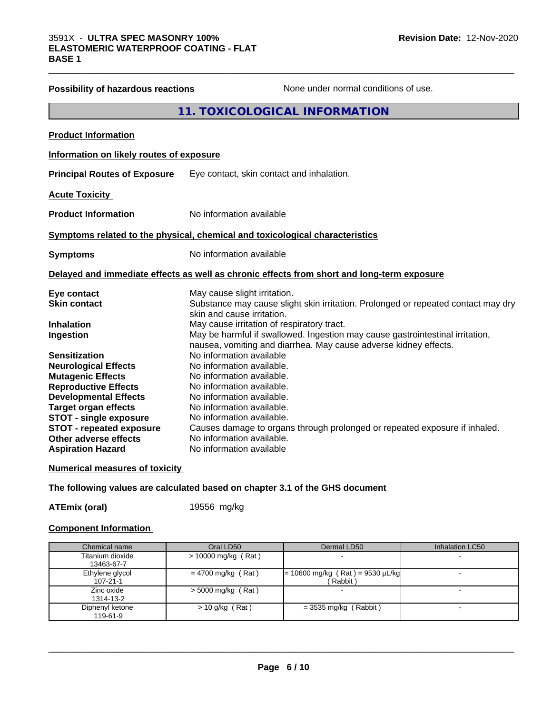| <b>Possibility of hazardous reactions</b> | None under normal conditions of use.                                                       |
|-------------------------------------------|--------------------------------------------------------------------------------------------|
|                                           | 11. TOXICOLOGICAL INFORMATION                                                              |
| <b>Product Information</b>                |                                                                                            |
| Information on likely routes of exposure  |                                                                                            |
| <b>Principal Routes of Exposure</b>       | Eye contact, skin contact and inhalation.                                                  |
| <b>Acute Toxicity</b>                     |                                                                                            |
| <b>Product Information</b>                | No information available                                                                   |
|                                           | Symptoms related to the physical, chemical and toxicological characteristics               |
| <b>Symptoms</b>                           | No information available                                                                   |
|                                           | Delayed and immediate effects as well as chronic effects from short and long-term exposure |
| Eye contact                               | May cause slight irritation.                                                               |
| <b>Skin contact</b>                       | Substance may cause slight skin irritation. Prolonged or repeated contact may dry          |
| <b>Inhalation</b>                         | skin and cause irritation.<br>May cause irritation of respiratory tract.                   |
| Ingestion                                 | May be harmful if swallowed. Ingestion may cause gastrointestinal irritation,              |
|                                           | nausea, vomiting and diarrhea. May cause adverse kidney effects.                           |
| <b>Sensitization</b>                      | No information available                                                                   |
| <b>Neurological Effects</b>               | No information available.                                                                  |
| <b>Mutagenic Effects</b>                  | No information available.                                                                  |
| <b>Reproductive Effects</b>               | No information available.                                                                  |
| <b>Developmental Effects</b>              | No information available.                                                                  |
| <b>Target organ effects</b>               | No information available.                                                                  |
| <b>STOT - single exposure</b>             | No information available.                                                                  |
| <b>STOT - repeated exposure</b>           | Causes damage to organs through prolonged or repeated exposure if inhaled.                 |
| <b>Other adverse effects</b>              | No information available.                                                                  |
| <b>Aspiration Hazard</b>                  | No information available                                                                   |

 $\_$  ,  $\_$  ,  $\_$  ,  $\_$  ,  $\_$  ,  $\_$  ,  $\_$  ,  $\_$  ,  $\_$  ,  $\_$  ,  $\_$  ,  $\_$  ,  $\_$  ,  $\_$  ,  $\_$  ,  $\_$  ,  $\_$  ,  $\_$  ,  $\_$  ,  $\_$  ,  $\_$  ,  $\_$  ,  $\_$  ,  $\_$  ,  $\_$  ,  $\_$  ,  $\_$  ,  $\_$  ,  $\_$  ,  $\_$  ,  $\_$  ,  $\_$  ,  $\_$  ,  $\_$  ,  $\_$  ,  $\_$  ,  $\_$  ,

#### **Numerical measures of toxicity**

**The following values are calculated based on chapter 3.1 of the GHS document**

**ATEmix (oral)** 19556 mg/kg

#### **Component Information**

| Chemical name                     | Oral LD50            | Dermal LD50                                    | Inhalation LC50 |
|-----------------------------------|----------------------|------------------------------------------------|-----------------|
| Titanium dioxide<br>13463-67-7    | > 10000 mg/kg (Rat)  |                                                |                 |
| Ethylene glycol<br>$107 - 21 - 1$ | $= 4700$ mg/kg (Rat) | $= 10600$ mg/kg (Rat) = 9530 µL/kg<br>(Rabbit) |                 |
| Zinc oxide<br>1314-13-2           | $>$ 5000 mg/kg (Rat) |                                                |                 |
| Diphenyl ketone<br>119-61-9       | $> 10$ g/kg (Rat)    | $=$ 3535 mg/kg (Rabbit)                        |                 |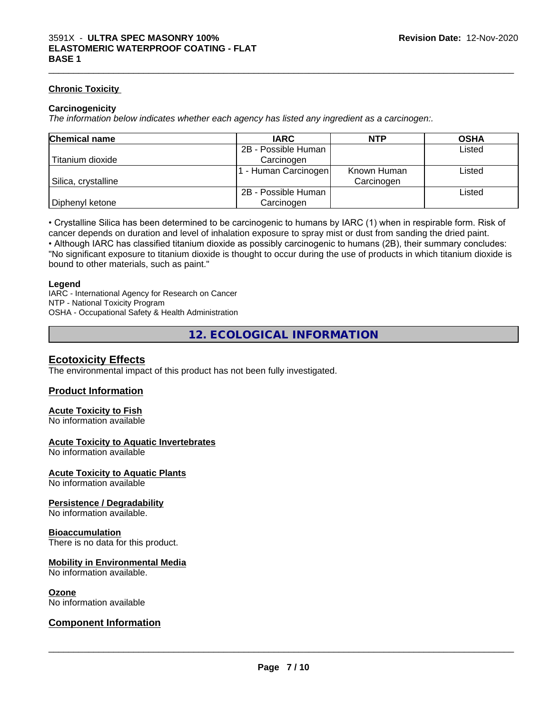#### **Chronic Toxicity**

#### **Carcinogenicity**

*The information below indicateswhether each agency has listed any ingredient as a carcinogen:.*

| <b>Chemical name</b> | <b>IARC</b>         | <b>NTP</b>  | <b>OSHA</b> |
|----------------------|---------------------|-------------|-------------|
|                      | 2B - Possible Human |             | Listed      |
| Titanium dioxide     | Carcinogen          |             |             |
|                      | - Human Carcinogen  | Known Human | Listed      |
| Silica, crystalline  |                     | Carcinogen  |             |
|                      | 2B - Possible Human |             | Listed      |
| Diphenyl ketone      | Carcinogen          |             |             |

• Crystalline Silica has been determined to be carcinogenic to humans by IARC (1) when in respirable form. Risk of cancer depends on duration and level of inhalation exposure to spray mist or dust from sanding the dried paint.• Although IARC has classified titanium dioxide as possibly carcinogenic to humans (2B), their summary concludes: "No significant exposure to titanium dioxide is thought to occur during the use of products in which titanium dioxide is

bound to other materials, such as paint."

#### **Legend**

IARC - International Agency for Research on Cancer NTP - National Toxicity Program OSHA - Occupational Safety & Health Administration

**12. ECOLOGICAL INFORMATION**

#### **Ecotoxicity Effects**

The environmental impact of this product has not been fully investigated.

#### **Product Information**

#### **Acute Toxicity to Fish**

No information available

#### **Acute Toxicity to Aquatic Invertebrates**

No information available

#### **Acute Toxicity to Aquatic Plants**

No information available

#### **Persistence / Degradability**

No information available.

#### **Bioaccumulation**

There is no data for this product.

#### **Mobility in Environmental Media**

No information available.

#### **Ozone**

No information available

#### **Component Information**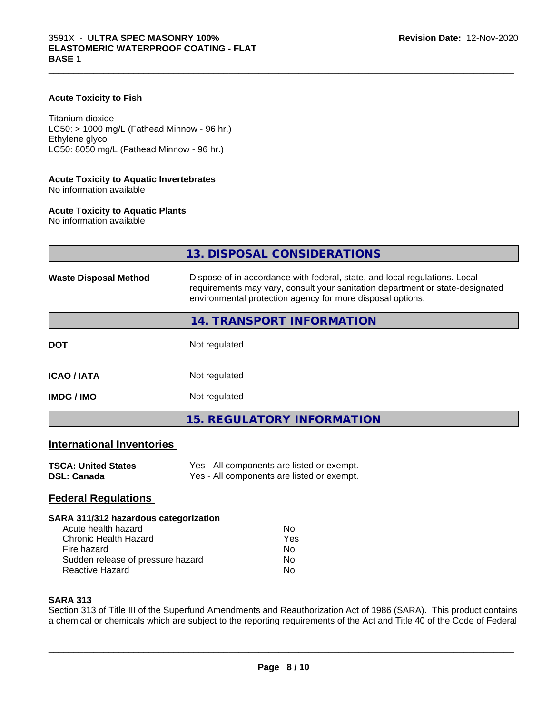#### **Acute Toxicity to Fish**

Titanium dioxide  $LC50:$  > 1000 mg/L (Fathead Minnow - 96 hr.) Ethylene glycol LC50: 8050 mg/L (Fathead Minnow - 96 hr.)

#### **Acute Toxicity to Aquatic Invertebrates**

No information available

#### **Acute Toxicity to Aquatic Plants**

No information available

|                                  | 13. DISPOSAL CONSIDERATIONS                                                                                                                                                                                               |
|----------------------------------|---------------------------------------------------------------------------------------------------------------------------------------------------------------------------------------------------------------------------|
| <b>Waste Disposal Method</b>     | Dispose of in accordance with federal, state, and local regulations. Local<br>requirements may vary, consult your sanitation department or state-designated<br>environmental protection agency for more disposal options. |
|                                  | 14. TRANSPORT INFORMATION                                                                                                                                                                                                 |
| <b>DOT</b>                       | Not regulated                                                                                                                                                                                                             |
| <b>ICAO / IATA</b>               | Not regulated                                                                                                                                                                                                             |
| <b>IMDG / IMO</b>                | Not regulated                                                                                                                                                                                                             |
|                                  | <b>15. REGULATORY INFORMATION</b>                                                                                                                                                                                         |
| <b>International Inventories</b> |                                                                                                                                                                                                                           |

#### **TSCA: United States** Yes - All components are listed or exempt.<br> **DSL: Canada** Yes - All components are listed or exempt. Yes - All components are listed or exempt.

#### **Federal Regulations**

#### **SARA 311/312 hazardous categorization**

| Acute health hazard               | Nο  |
|-----------------------------------|-----|
| Chronic Health Hazard             | Yes |
| Fire hazard                       | Nο  |
| Sudden release of pressure hazard | Nο  |
| Reactive Hazard                   | Nο  |

#### **SARA 313**

Section 313 of Title III of the Superfund Amendments and Reauthorization Act of 1986 (SARA). This product contains a chemical or chemicals which are subject to the reporting requirements of the Act and Title 40 of the Code of Federal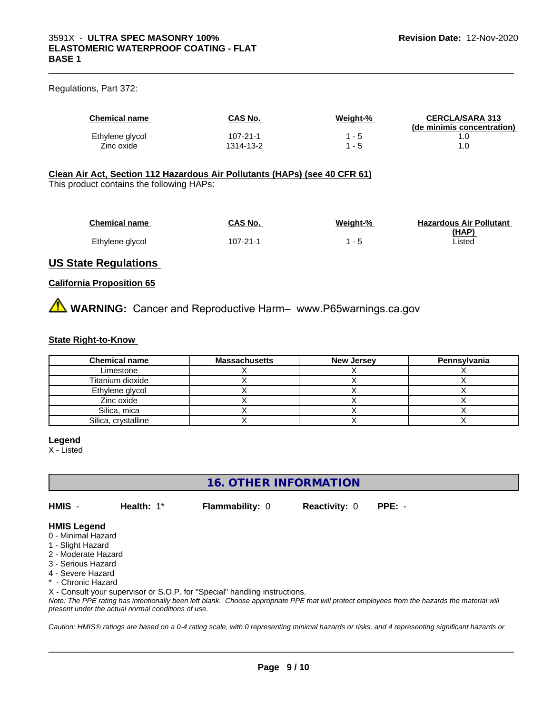#### Regulations, Part 372:

| <b>Chemical name</b> | CAS No.   | Weight-% | <b>CERCLA/SARA 313</b><br>(de minimis concentration) |
|----------------------|-----------|----------|------------------------------------------------------|
| Ethylene glycol      | 107-21-1  | - 5      |                                                      |
| Zinc oxide           | 1314-13-2 | - 5      |                                                      |

 $\_$  ,  $\_$  ,  $\_$  ,  $\_$  ,  $\_$  ,  $\_$  ,  $\_$  ,  $\_$  ,  $\_$  ,  $\_$  ,  $\_$  ,  $\_$  ,  $\_$  ,  $\_$  ,  $\_$  ,  $\_$  ,  $\_$  ,  $\_$  ,  $\_$  ,  $\_$  ,  $\_$  ,  $\_$  ,  $\_$  ,  $\_$  ,  $\_$  ,  $\_$  ,  $\_$  ,  $\_$  ,  $\_$  ,  $\_$  ,  $\_$  ,  $\_$  ,  $\_$  ,  $\_$  ,  $\_$  ,  $\_$  ,  $\_$  ,

#### **Clean Air Act,Section 112 Hazardous Air Pollutants (HAPs) (see 40 CFR 61)**

This product contains the following HAPs:

| <b>Chemical name</b> | CAS No.  | Weight-% | <b>Hazardous Air Pollutant</b> |
|----------------------|----------|----------|--------------------------------|
|                      |          |          | (HAP)                          |
| Ethylene glycol      | 107-21-1 |          | Listed                         |

#### **US State Regulations**

#### **California Proposition 65**

**AVIMARNING:** Cancer and Reproductive Harm– www.P65warnings.ca.gov

#### **State Right-to-Know**

| <b>Chemical name</b> | <b>Massachusetts</b> | <b>New Jersey</b> | Pennsylvania |
|----------------------|----------------------|-------------------|--------------|
| Limestone            |                      |                   |              |
| Titanium dioxide     |                      |                   |              |
| Ethylene glycol      |                      |                   |              |
| Zinc oxide           |                      |                   |              |
| Silica, mica         |                      |                   |              |
| Silica, crystalline  |                      |                   |              |

#### **Legend**

X - Listed

### **16. OTHER INFORMATION**

**HMIS** - **Health:** 1\* **Flammability:** 0 **Reactivity:** 0 **PPE:** -

 $\overline{\phantom{a}}$  ,  $\overline{\phantom{a}}$  ,  $\overline{\phantom{a}}$  ,  $\overline{\phantom{a}}$  ,  $\overline{\phantom{a}}$  ,  $\overline{\phantom{a}}$  ,  $\overline{\phantom{a}}$  ,  $\overline{\phantom{a}}$  ,  $\overline{\phantom{a}}$  ,  $\overline{\phantom{a}}$  ,  $\overline{\phantom{a}}$  ,  $\overline{\phantom{a}}$  ,  $\overline{\phantom{a}}$  ,  $\overline{\phantom{a}}$  ,  $\overline{\phantom{a}}$  ,  $\overline{\phantom{a}}$ 

#### **HMIS Legend**

- 0 Minimal Hazard
- 1 Slight Hazard
- 2 Moderate Hazard
- 3 Serious Hazard
- 4 Severe Hazard
- \* Chronic Hazard

X - Consult your supervisor or S.O.P. for "Special" handling instructions.

*Note: The PPE rating has intentionally been left blank. Choose appropriate PPE that will protect employees from the hazards the material will present under the actual normal conditions of use.*

*Caution: HMISÒ ratings are based on a 0-4 rating scale, with 0 representing minimal hazards or risks, and 4 representing significant hazards or*